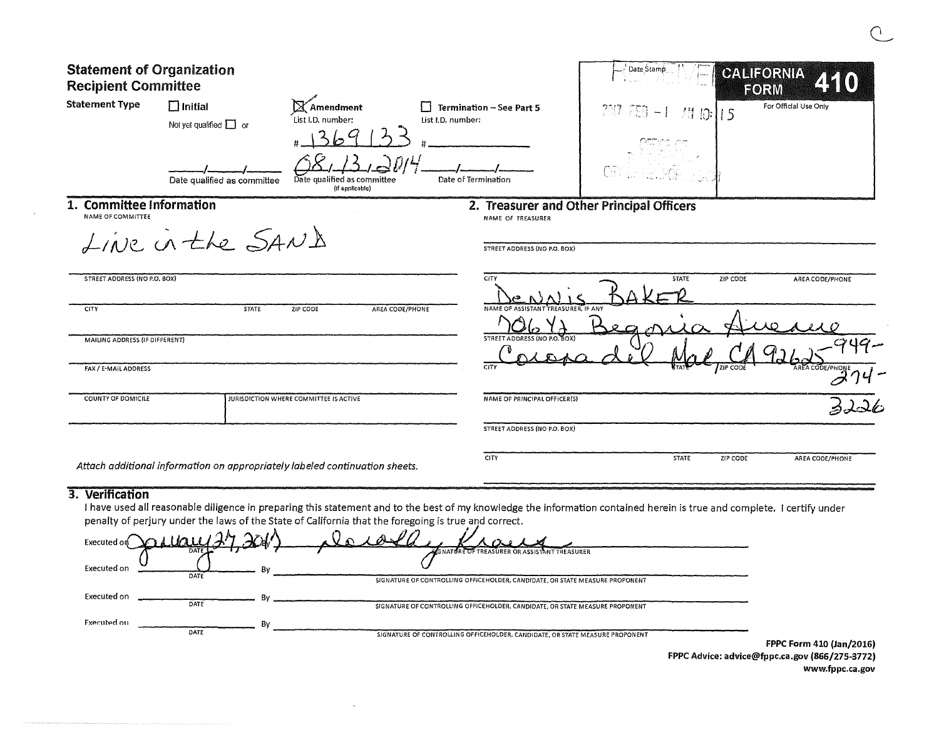| <b>Statement of Organization</b><br><b>Recipient Committee</b> |                                                                             |                                                                                                    |                     |                                                                | <sup>1</sup> Date Stamp |              | <b>CALIFORNIA</b>     | FORM            |
|----------------------------------------------------------------|-----------------------------------------------------------------------------|----------------------------------------------------------------------------------------------------|---------------------|----------------------------------------------------------------|-------------------------|--------------|-----------------------|-----------------|
| <b>Statement Type</b>                                          | $\square$ Initial<br>Not yet qualified $\Box$ or                            | $\mathbb X$ Amendment<br><b>Termination - See Part 5</b><br>List I.D. number:<br>List I.D. number: |                     | $2017553 - 1$                                                  | M 10:115                |              | For Official Use Only |                 |
|                                                                | Date qualified as committee                                                 | Date qualified as committee<br>(if applicable)                                                     | Date of Termination |                                                                | City (LELLEGGY          |              |                       |                 |
| 1. Committee Information<br>NAME OF COMMITTEE                  |                                                                             |                                                                                                    |                     | 2. Treasurer and Other Principal Officers<br>NAME OF TREASURER |                         |              |                       |                 |
|                                                                | LINE in the SANA                                                            |                                                                                                    |                     | STREET ADDRESS (NO P.O. BOX)                                   |                         |              |                       |                 |
| STREET ADDRESS (NO P.O. BOX)                                   |                                                                             |                                                                                                    |                     | CITY                                                           |                         | <b>STATE</b> | ZIP CODE              | AREA CODE/PHONE |
| <b>CITY</b>                                                    | <b>STATE</b>                                                                | ZIP CODE                                                                                           | AREA CODE/PHONE     | NAME OF ASSISTANT<br>TREASURER. IF ANY                         |                         |              |                       |                 |
| MAILING ADDRESS (IF DIFFERENT)                                 |                                                                             |                                                                                                    |                     | STREET ADDRESS (NO P.O. BOX)                                   |                         |              |                       |                 |
| FAX / E-MAIL ADDRESS                                           |                                                                             |                                                                                                    |                     | <b>CITY</b>                                                    |                         |              | ZIP COD               |                 |
| <b>COUNTY OF DOMICILE</b>                                      |                                                                             | JURISDICTION WHERE COMMITTEE IS ACTIVE                                                             |                     | NAME OF PRINCIPAL OFFICER(S)                                   |                         |              |                       |                 |
|                                                                |                                                                             |                                                                                                    |                     | STREET ADDRESS (NO P.O. BOX)                                   |                         |              |                       |                 |
|                                                                | Attach additional information on appropriately labeled continuation sheets. |                                                                                                    |                     | CITY                                                           |                         | STATE        | ZIP CODE              | AREA CODE/PHONE |
| 3. Verification                                                |                                                                             |                                                                                                    |                     |                                                                |                         |              |                       |                 |

 $\sim 10^7$ 

I have used all reasonable diligence in preparing this statement and to the best of my knowledge the information contained herein is true and complete. 1 certify under penalty of perjury under the laws of the State of California that the foregoing is true and correct.

| Mary 27 201.<br>Executed on | . Dund                                                                       |                          |
|-----------------------------|------------------------------------------------------------------------------|--------------------------|
| <b>DATI</b><br>Executed on  | <b>EGNATURE OF TREASURER OR ASSISTANT TREASURER</b>                          |                          |
| DATE                        | SIGNATURE OF CONTROLLING OFFICEHOLDER, CANDIDATE, OR STATE MEASURE PROPONENT |                          |
| Executed on<br>DATE         | SIGNATURE OF CONTROLLING OFFICEHOLDER, CANDIDATE, OR STATE MEASURE PROPONENT |                          |
| Fxecuted on<br>DATE         |                                                                              |                          |
|                             | SIGNATURE OF CONTROLLING OFFICEHOLDER, CANDIDATE, OR STATE MEASURE PROPONENT | FPPC Form 410 (Jan/2016) |

 $\sim$ 

FPPC Advice: advice@fppc.ca.gov (866/275-3772) www.fppc.ca.gov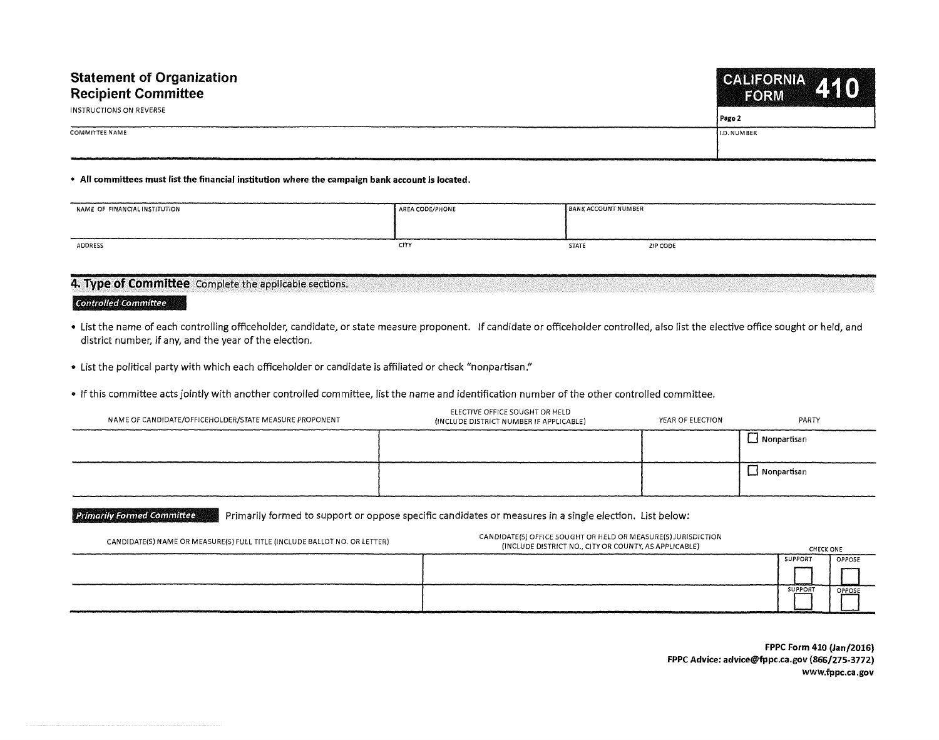| <b>Statement of Organization</b><br><b>Recipient Committee</b> | CALIFORNIA 410      |  |
|----------------------------------------------------------------|---------------------|--|
| INSTRUCTIONS ON REVERSE                                        | Page 2              |  |
| <b>COMMITTEE NAME</b>                                          | <b>II.D. NUMBER</b> |  |
|                                                                |                     |  |

## • **All committees must list the financial institution where the campaign bank account is located.**

| NAME OF FINANCIAL INSTITUTION | AREA CODE/PHONE | <b>BANK ACCOUNT NUMBER</b> |          |
|-------------------------------|-----------------|----------------------------|----------|
|                               |                 |                            |          |
| ADDRESS                       | CITY            | <b>STATE</b>               | ZIP CODE |

## **4. Type of Committee** Complete the applicable sections.

## *Controlled Committee*

- List the name of each controlling officeholder, candidate, or state measure proponent. If candidate or officeholder controlled, also list the elective office sought or held, and district number, if any, and the year of the election.
- List the political party with which each officeholder or candidate is affiliated or check "nonpartisan."
- If this committee acts jointly with another controlled committee, list the name and identification number of the other controlled committee.

| NAME OF CANDIDATE/OFFICEHOLDER/STATE MEASURE PROPONENT | ELECTIVE OFFICE SOUGHT OR HELD<br>(INCLUDE DISTRICT NUMBER IF APPLICABLE) | YEAR OF ELECTION | PARTY          |
|--------------------------------------------------------|---------------------------------------------------------------------------|------------------|----------------|
|                                                        |                                                                           |                  | L. Nonpartisan |
|                                                        |                                                                           |                  | └─ Nonpartisan |

## *Primarily Formed Committee* Primarily formed to support or oppose specific candidates or measures in a single election. List below:

| CANDIDATE(S) NAME OR MEASURE(S) FULL TITLE (INCLUDE BALLOT NO. OR LETTER) | CANDIDATE(S) OFFICE SOUGHT OR HELD OR MEASURE(S) JURISDICTION<br>(INCLUDE DISTRICT NO., CITY OR COUNTY, AS APPLICABLE) | <b>CHECK ONE</b> |               |
|---------------------------------------------------------------------------|------------------------------------------------------------------------------------------------------------------------|------------------|---------------|
|                                                                           |                                                                                                                        | <b>SUPPORT</b>   | <b>OPPOSE</b> |
|                                                                           |                                                                                                                        | SUPPORT          | OPPOSE        |